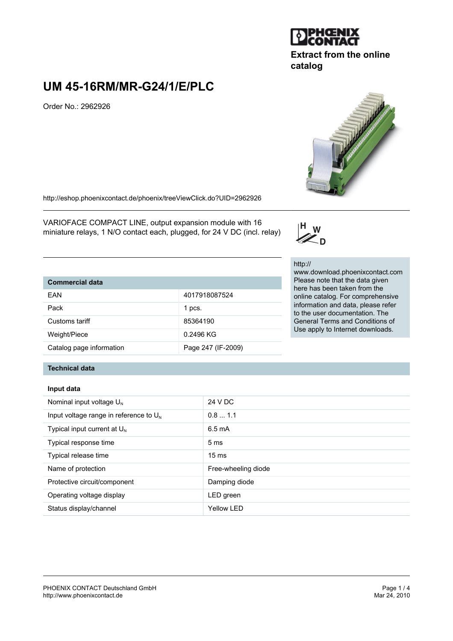

### **Extract from the online catalog**

## **UM 45-16RM/MR-G24/1/E/PLC**

Order No.: 2962926

http://eshop.phoenixcontact.de/phoenix/treeViewClick.do?UID=2962926

VARIOFACE COMPACT LINE, output expansion module with 16 miniature relays, 1 N/O contact each, plugged, for 24 V DC (incl. relay)

# **Commercial data**

| <b>VUIIIIIIGI VIAI UALA</b> |                    |
|-----------------------------|--------------------|
| EAN                         | 4017918087524      |
| Pack                        | 1 pcs.             |
| Customs tariff              | 85364190           |
| Weight/Piece                | 0.2496 KG          |
| Catalog page information    | Page 247 (IF-2009) |

## http://

 $\mathsf{H}_{\square}$ w Zп

www.download.phoenixcontact.com Please note that the data given here has been taken from the online catalog. For comprehensive information and data, please refer to the user documentation. The General Terms and Conditions of Use apply to Internet downloads.

#### **Technical data**

#### **Input data**

| Nominal input voltage $U_N$                 | 24 V DC             |
|---------------------------------------------|---------------------|
| Input voltage range in reference to $U_{N}$ | 0.81.1              |
| Typical input current at $U_{N}$            | $6.5 \text{ mA}$    |
| Typical response time                       | 5 <sub>ms</sub>     |
| Typical release time                        | $15 \text{ ms}$     |
| Name of protection                          | Free-wheeling diode |
| Protective circuit/component                | Damping diode       |
| Operating voltage display                   | LED green           |
| Status display/channel                      | <b>Yellow LED</b>   |

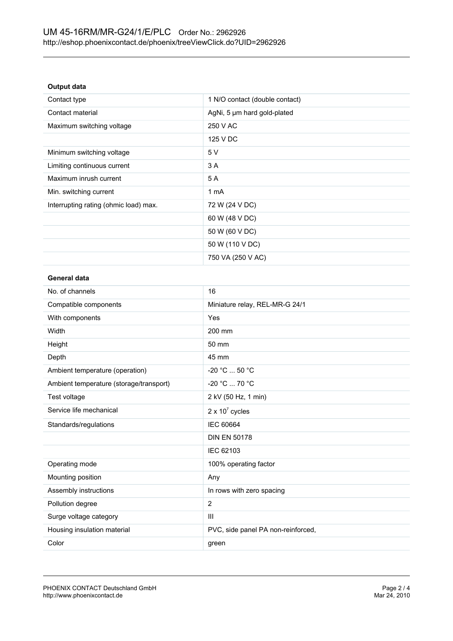#### **Output data**

| Contact type                          | 1 N/O contact (double contact) |
|---------------------------------------|--------------------------------|
| Contact material                      | AgNi, 5 um hard gold-plated    |
| Maximum switching voltage             | 250 V AC                       |
|                                       | 125 V DC                       |
| Minimum switching voltage             | 5 V                            |
| Limiting continuous current           | 3 A                            |
| Maximum inrush current                | 5A                             |
| Min. switching current                | 1 mA                           |
| Interrupting rating (ohmic load) max. | 72 W (24 V DC)                 |
|                                       | 60 W (48 V DC)                 |
|                                       | 50 W (60 V DC)                 |
|                                       | 50 W (110 V DC)                |
|                                       | 750 VA (250 V AC)              |

#### **General data**

| 16                                 |
|------------------------------------|
| Miniature relay, REL-MR-G 24/1     |
| Yes                                |
| 200 mm                             |
| 50 mm                              |
| 45 mm                              |
| -20 °C  50 °C                      |
| $-20 °C  70 °C$                    |
| 2 kV (50 Hz, 1 min)                |
| $2 \times 10^7$ cycles             |
| <b>IEC 60664</b>                   |
| <b>DIN EN 50178</b>                |
| IEC 62103                          |
| 100% operating factor              |
| Any                                |
| In rows with zero spacing          |
| 2                                  |
| III                                |
| PVC, side panel PA non-reinforced, |
| green                              |
|                                    |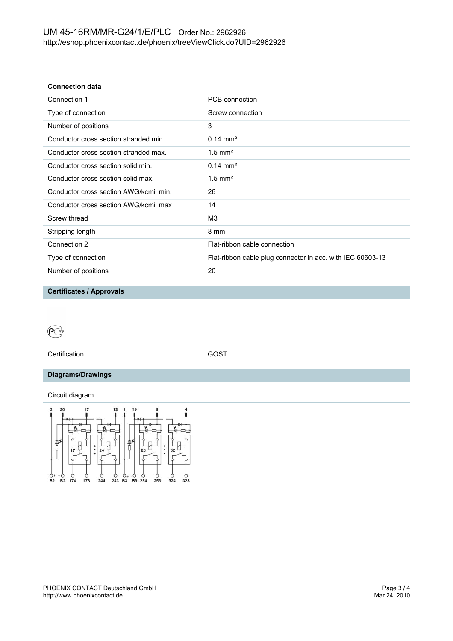#### **Connection data**

| Connection 1                           | PCB connection                                             |
|----------------------------------------|------------------------------------------------------------|
| Type of connection                     | Screw connection                                           |
| Number of positions                    | 3                                                          |
| Conductor cross section stranded min.  | $0.14 \text{ mm}^2$                                        |
| Conductor cross section stranded max.  | $1.5$ mm <sup>2</sup>                                      |
| Conductor cross section solid min.     | $0.14 \text{ mm}^2$                                        |
| Conductor cross section solid max.     | $1.5$ mm <sup>2</sup>                                      |
| Conductor cross section AWG/kcmil min. | 26                                                         |
| Conductor cross section AWG/kcmil max  | 14                                                         |
| Screw thread                           | M <sub>3</sub>                                             |
| Stripping length                       | 8 mm                                                       |
| Connection 2                           | Flat-ribbon cable connection                               |
| Type of connection                     | Flat-ribbon cable plug connector in acc. with IEC 60603-13 |
| Number of positions                    | 20                                                         |
|                                        |                                                            |

**Certificates / Approvals**



Certification GOST

#### **Diagrams/Drawings**

Circuit diagram